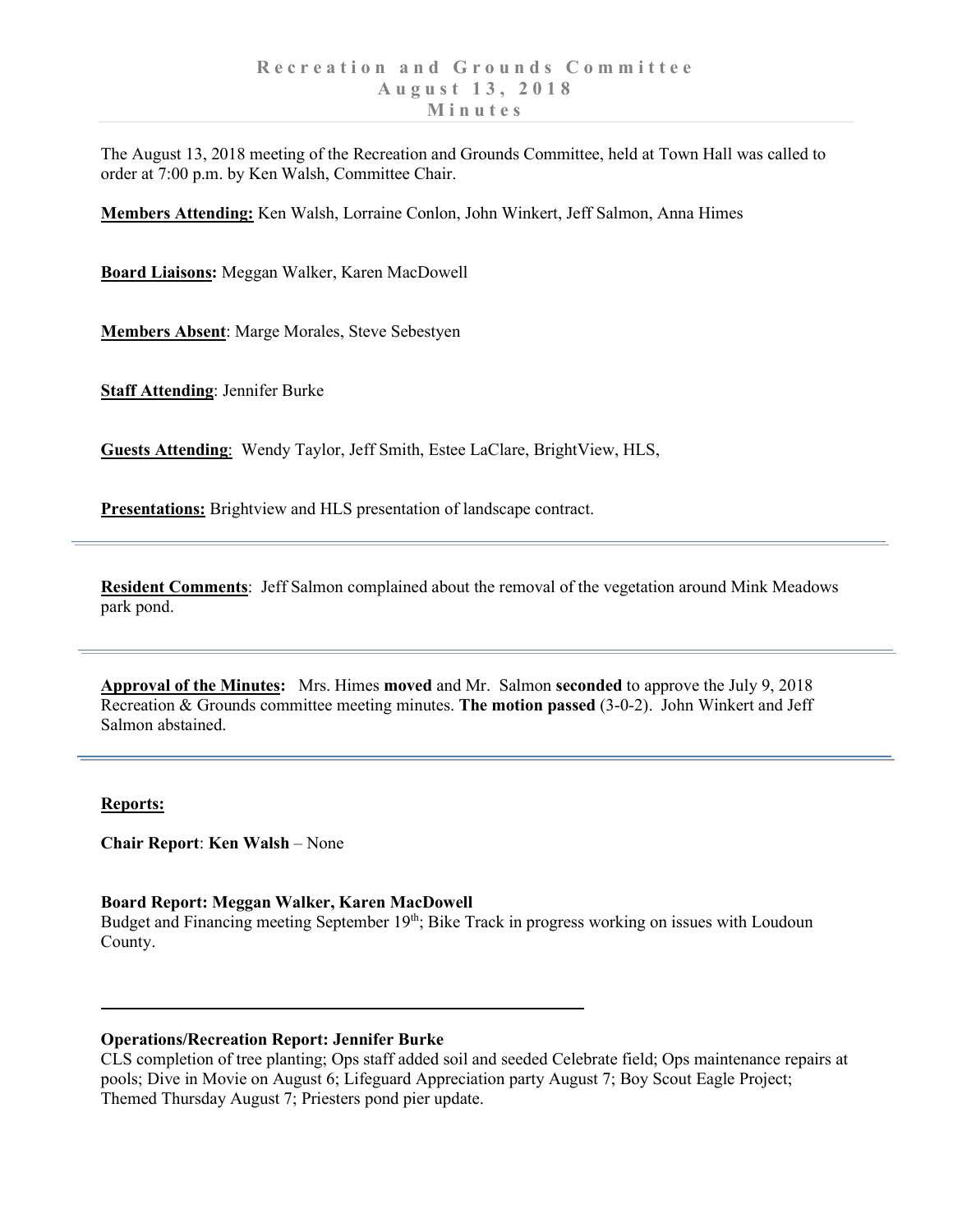The August 13, 2018 meeting of the Recreation and Grounds Committee, held at Town Hall was called to order at 7:00 p.m. by Ken Walsh, Committee Chair.

**Members Attending:** Ken Walsh, Lorraine Conlon, John Winkert, Jeff Salmon, Anna Himes

**Board Liaisons:** Meggan Walker, Karen MacDowell

**Members Absent**: Marge Morales, Steve Sebestyen

**Staff Attending**: Jennifer Burke

**Guests Attending**: Wendy Taylor, Jeff Smith, Estee LaClare, BrightView, HLS,

**Presentations:** Brightview and HLS presentation of landscape contract.

**Resident Comments**: Jeff Salmon complained about the removal of the vegetation around Mink Meadows park pond.

**Approval of the Minutes:** Mrs. Himes **moved** and Mr. Salmon **seconded** to approve the July 9, 2018 Recreation & Grounds committee meeting minutes. **The motion passed** (3-0-2). John Winkert and Jeff Salmon abstained.

### **Reports:**

**Chair Report**: **Ken Walsh** – None

# **Board Report: Meggan Walker, Karen MacDowell**

Budget and Financing meeting September 19<sup>th</sup>; Bike Track in progress working on issues with Loudoun County.

# **Operations/Recreation Report: Jennifer Burke**

CLS completion of tree planting; Ops staff added soil and seeded Celebrate field; Ops maintenance repairs at pools; Dive in Movie on August 6; Lifeguard Appreciation party August 7; Boy Scout Eagle Project; Themed Thursday August 7; Priesters pond pier update.